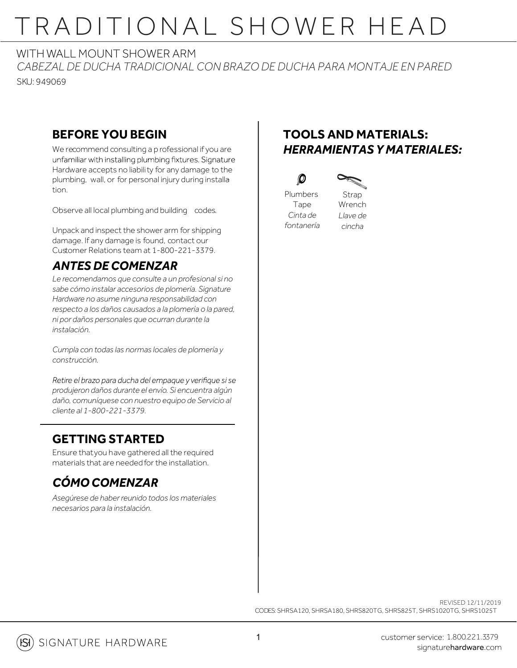# TRADITIONAL SHOWER HEAD

#### WITH WALL MOUNT SHOWER ARM

*CABEZAL DE DUCHA TRADICIONAL CON BRAZO DE DUCHA PARA MONTAJE EN PARED* SKU: 949069

#### **BEFORE YOU BEGIN**

We recommend consulting a p rofessional if you are unfamiliar with installing plumbing fixtures. Signature Hardware accepts no liability for any damage to the plumbing, wall, or for personal injury during installation.

Observe all local plumbing and building codes.

Unpack and inspect the shower arm for shipping damage. If any damage is found, contact our Customer Relations team at 1-800-221-3379.

### *ANTES DE COMENZAR*

*Le recomendamos que consulte a un profesional si no sabe cómo instalar accesorios de plomería. Signature Hardware no asume ninguna responsabilidad con respecto a los daños causados a la plomería o la pared, ni por daños personales que ocurran durante la instalación.*

*Cumpla con todas las normas locales de plomería y construcción.*

Retire el brazo para ducha del empaque y verifique si se *produjeron daños durante el envío. Si encuentra algún daño, comuníquese con nuestro equipo de Servicio al cliente al 1-800-221-3379.*

### **GETTING STARTED**

Ensure that you have gathered all the required materials that are needed for the installation.

## *CÓMO COMENZAR*

*Asegúrese de haberreunido todos los materiales necesarios para la instalación.*

### **TOOLS AND MATERIALS:** *HERRAMIENTAS Y MATERIALES:*





 $\mathcal{D}$ 

*fontanería* Strap Wrench *Llave de cincha*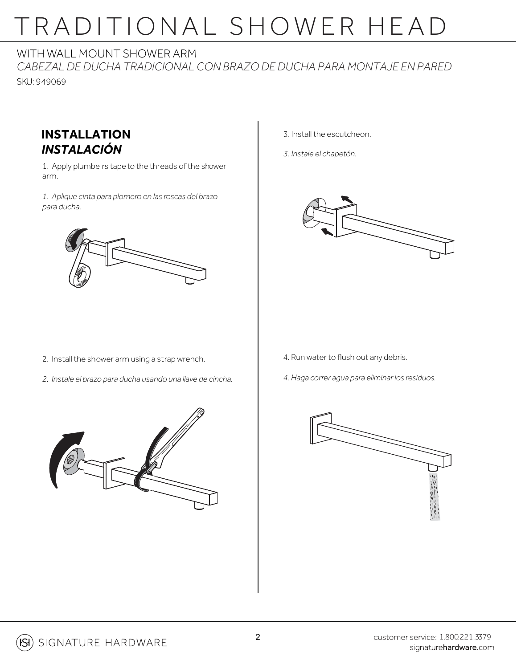# TRADITIONAL SHOWER HEAD

#### WITH WALL MOUNT SHOWER ARM

*CABEZAL DE DUCHA TRADICIONAL CON BRAZO DE DUCHA PARA MONTAJE EN PARED* SKU: 949069



1. Apply plumbe rs tape to the threads of the shower arm.

*1. Aplique cinta para plomero en las roscas del brazo para ducha.*



3. Install the escutcheon.

*3. Instale el chapetón.*



- 2. Install the shower arm using a strap wrench.
- *2. Instale el brazo para ducha usando una llave de cincha.*
- 4. Run water to flush out any debris.
- *4. Haga correr agua para eliminar los residuos.*





**ISI**